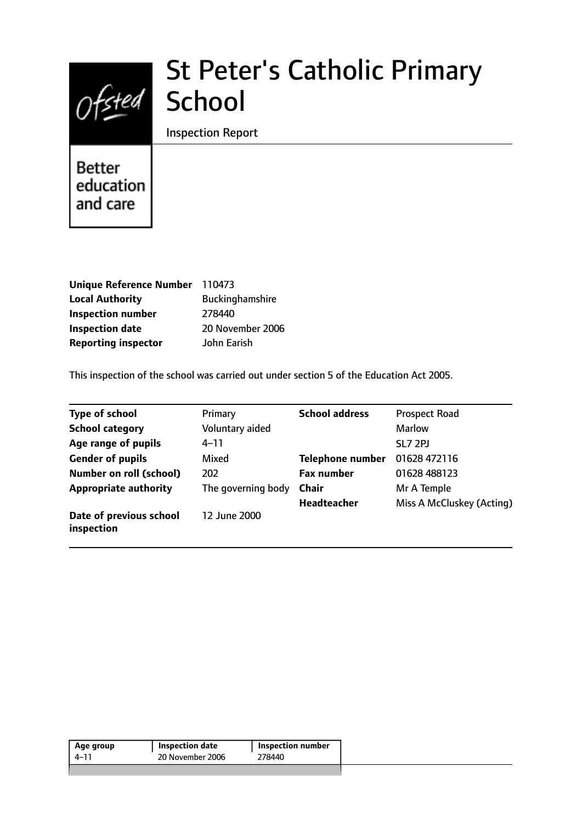

# St Peter's Catholic Primary

Inspection Report

**Better** education and care

| Unique Reference Number 110473 |                        |
|--------------------------------|------------------------|
| <b>Local Authority</b>         | <b>Buckinghamshire</b> |
| <b>Inspection number</b>       | 278440                 |
| <b>Inspection date</b>         | 20 November 2006       |
| <b>Reporting inspector</b>     | John Earish            |

This inspection of the school was carried out under section 5 of the Education Act 2005.

| <b>Type of school</b>                 | Primary            | <b>School address</b>   | <b>Prospect Road</b>      |
|---------------------------------------|--------------------|-------------------------|---------------------------|
| <b>School category</b>                | Voluntary aided    |                         | <b>Marlow</b>             |
| Age range of pupils                   | $4 - 11$           |                         | SL7 2PJ                   |
| <b>Gender of pupils</b>               | Mixed              | <b>Telephone number</b> | 01628 472116              |
| <b>Number on roll (school)</b>        | 202                | <b>Fax number</b>       | 01628 488123              |
| <b>Appropriate authority</b>          | The governing body | <b>Chair</b>            | Mr A Temple               |
|                                       |                    | <b>Headteacher</b>      | Miss A McCluskey (Acting) |
| Date of previous school<br>inspection | 12 June 2000       |                         |                           |

| 4–11 | 20 November 2006 | 278440 |
|------|------------------|--------|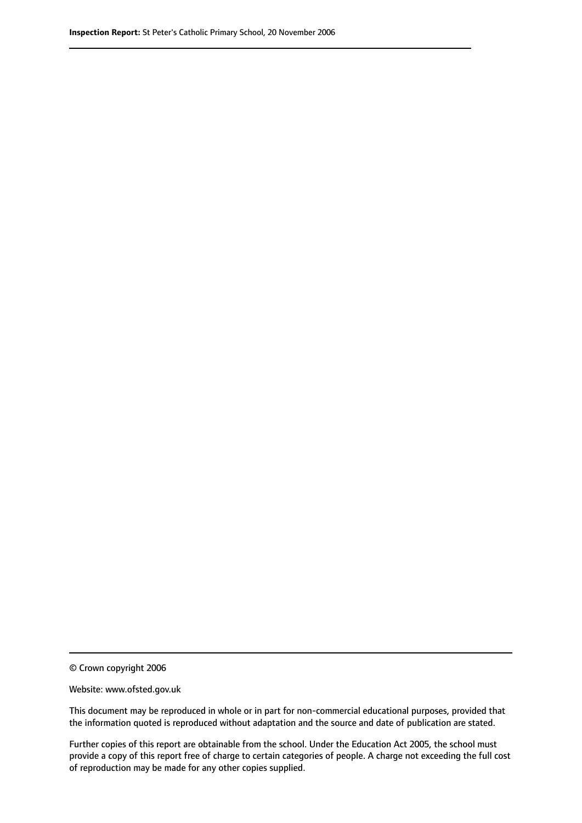© Crown copyright 2006

Website: www.ofsted.gov.uk

This document may be reproduced in whole or in part for non-commercial educational purposes, provided that the information quoted is reproduced without adaptation and the source and date of publication are stated.

Further copies of this report are obtainable from the school. Under the Education Act 2005, the school must provide a copy of this report free of charge to certain categories of people. A charge not exceeding the full cost of reproduction may be made for any other copies supplied.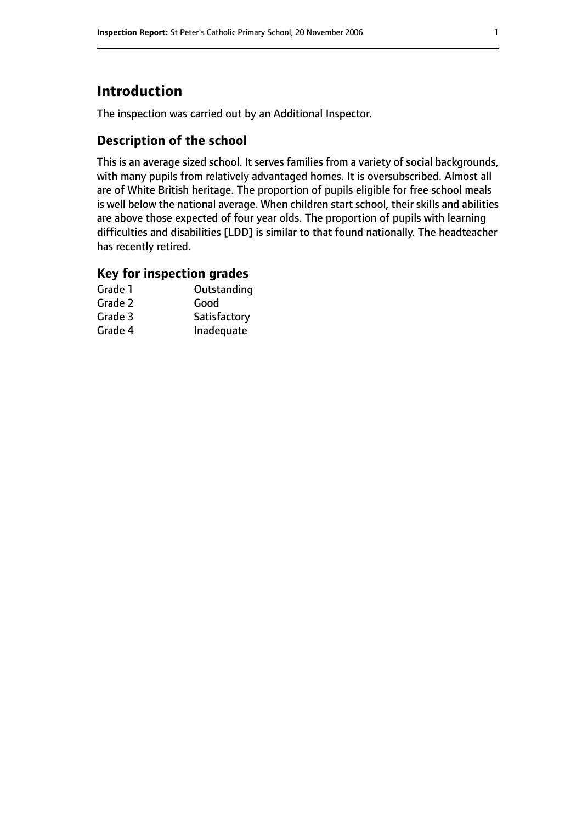# **Introduction**

The inspection was carried out by an Additional Inspector.

## **Description of the school**

This is an average sized school. It serves families from a variety of social backgrounds, with many pupils from relatively advantaged homes. It is oversubscribed. Almost all are of White British heritage. The proportion of pupils eligible for free school meals is well below the national average. When children start school, their skills and abilities are above those expected of four year olds. The proportion of pupils with learning difficulties and disabilities [LDD] is similar to that found nationally. The headteacher has recently retired.

#### **Key for inspection grades**

| Grade 1 | Outstanding  |
|---------|--------------|
| Grade 2 | Good         |
| Grade 3 | Satisfactory |
| Grade 4 | Inadequate   |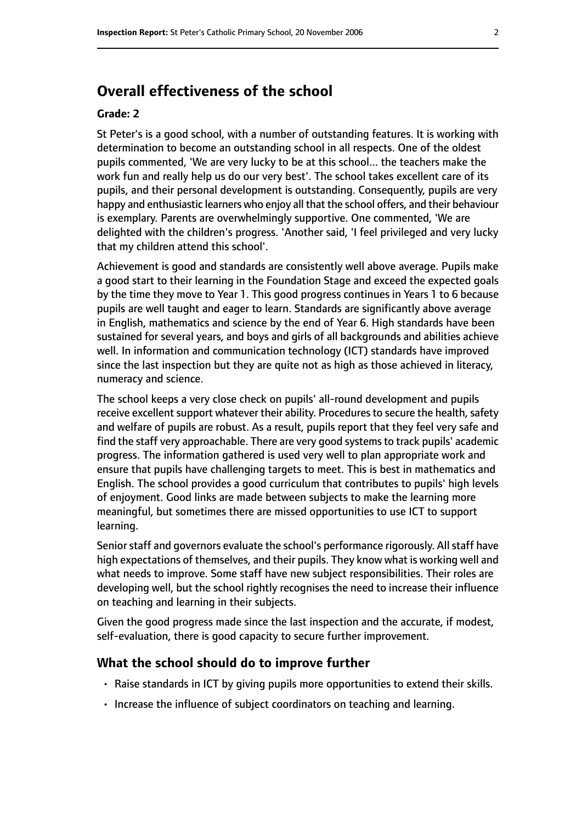# **Overall effectiveness of the school**

#### **Grade: 2**

St Peter's is a good school, with a number of outstanding features. It is working with determination to become an outstanding school in all respects. One of the oldest pupils commented, 'We are very lucky to be at this school... the teachers make the work fun and really help us do our very best'. The school takes excellent care of its pupils, and their personal development is outstanding. Consequently, pupils are very happy and enthusiastic learners who enjoy all that the school offers, and their behaviour is exemplary. Parents are overwhelmingly supportive. One commented, 'We are delighted with the children's progress. 'Another said, 'I feel privileged and very lucky that my children attend this school'.

Achievement is good and standards are consistently well above average. Pupils make a good start to their learning in the Foundation Stage and exceed the expected goals by the time they move to Year 1. This good progress continues in Years 1 to 6 because pupils are well taught and eager to learn. Standards are significantly above average in English, mathematics and science by the end of Year 6. High standards have been sustained for several years, and boys and girls of all backgrounds and abilities achieve well. In information and communication technology (ICT) standards have improved since the last inspection but they are quite not as high as those achieved in literacy, numeracy and science.

The school keeps a very close check on pupils' all-round development and pupils receive excellent support whatever their ability. Procedures to secure the health, safety and welfare of pupils are robust. As a result, pupils report that they feel very safe and find the staff very approachable. There are very good systems to track pupils' academic progress. The information gathered is used very well to plan appropriate work and ensure that pupils have challenging targets to meet. This is best in mathematics and English. The school provides a good curriculum that contributes to pupils' high levels of enjoyment. Good links are made between subjects to make the learning more meaningful, but sometimes there are missed opportunities to use ICT to support learning.

Senior staff and governors evaluate the school's performance rigorously. All staff have high expectations of themselves, and their pupils. They know what is working well and what needs to improve. Some staff have new subject responsibilities. Their roles are developing well, but the school rightly recognises the need to increase their influence on teaching and learning in their subjects.

Given the good progress made since the last inspection and the accurate, if modest, self-evaluation, there is good capacity to secure further improvement.

#### **What the school should do to improve further**

- Raise standards in ICT by giving pupils more opportunities to extend their skills.
- Increase the influence of subject coordinators on teaching and learning.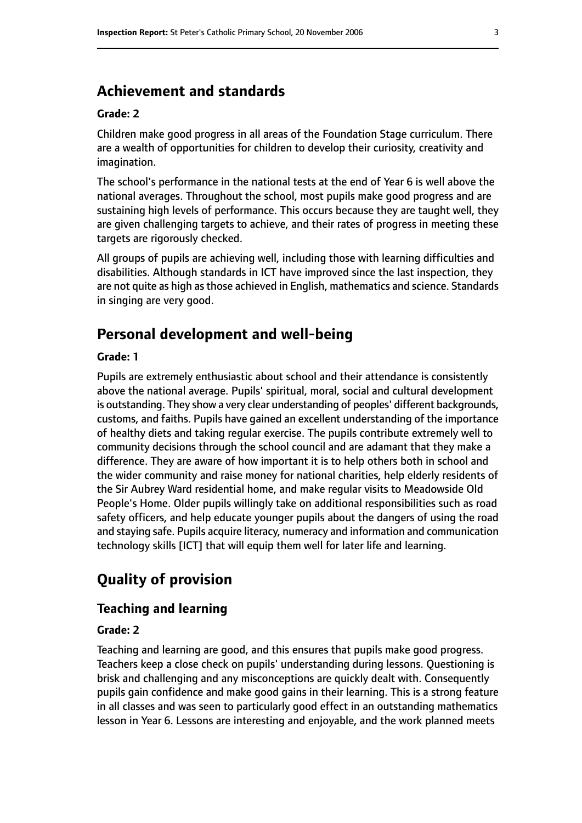## **Achievement and standards**

#### **Grade: 2**

Children make good progress in all areas of the Foundation Stage curriculum. There are a wealth of opportunities for children to develop their curiosity, creativity and imagination.

The school's performance in the national tests at the end of Year 6 is well above the national averages. Throughout the school, most pupils make good progress and are sustaining high levels of performance. This occurs because they are taught well, they are given challenging targets to achieve, and their rates of progress in meeting these targets are rigorously checked.

All groups of pupils are achieving well, including those with learning difficulties and disabilities. Although standards in ICT have improved since the last inspection, they are not quite as high as those achieved in English, mathematics and science. Standards in singing are very good.

# **Personal development and well-being**

#### **Grade: 1**

Pupils are extremely enthusiastic about school and their attendance is consistently above the national average. Pupils' spiritual, moral, social and cultural development is outstanding. They show a very clear understanding of peoples' different backgrounds, customs, and faiths. Pupils have gained an excellent understanding of the importance of healthy diets and taking regular exercise. The pupils contribute extremely well to community decisions through the school council and are adamant that they make a difference. They are aware of how important it is to help others both in school and the wider community and raise money for national charities, help elderly residents of the Sir Aubrey Ward residential home, and make regular visits to Meadowside Old People's Home. Older pupils willingly take on additional responsibilities such as road safety officers, and help educate younger pupils about the dangers of using the road and staying safe. Pupils acquire literacy, numeracy and information and communication technology skills [ICT] that will equip them well for later life and learning.

# **Quality of provision**

#### **Teaching and learning**

#### **Grade: 2**

Teaching and learning are good, and this ensures that pupils make good progress. Teachers keep a close check on pupils' understanding during lessons. Questioning is brisk and challenging and any misconceptions are quickly dealt with. Consequently pupils gain confidence and make good gains in their learning. This is a strong feature in all classes and was seen to particularly good effect in an outstanding mathematics lesson in Year 6. Lessons are interesting and enjoyable, and the work planned meets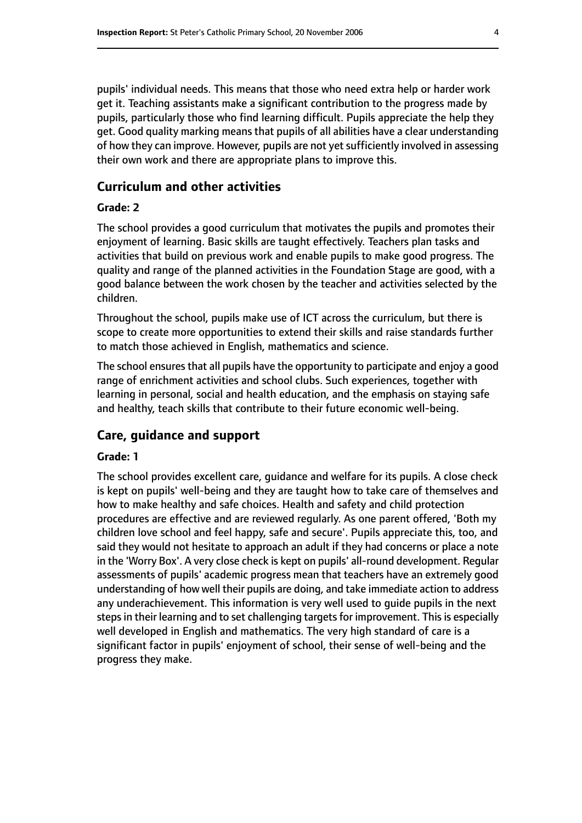pupils' individual needs. This means that those who need extra help or harder work get it. Teaching assistants make a significant contribution to the progress made by pupils, particularly those who find learning difficult. Pupils appreciate the help they get. Good quality marking means that pupils of all abilities have a clear understanding of how they can improve. However, pupils are not yet sufficiently involved in assessing their own work and there are appropriate plans to improve this.

#### **Curriculum and other activities**

#### **Grade: 2**

The school provides a good curriculum that motivates the pupils and promotes their enjoyment of learning. Basic skills are taught effectively. Teachers plan tasks and activities that build on previous work and enable pupils to make good progress. The quality and range of the planned activities in the Foundation Stage are good, with a good balance between the work chosen by the teacher and activities selected by the children.

Throughout the school, pupils make use of ICT across the curriculum, but there is scope to create more opportunities to extend their skills and raise standards further to match those achieved in English, mathematics and science.

The school ensures that all pupils have the opportunity to participate and enjoy a good range of enrichment activities and school clubs. Such experiences, together with learning in personal, social and health education, and the emphasis on staying safe and healthy, teach skills that contribute to their future economic well-being.

#### **Care, guidance and support**

#### **Grade: 1**

The school provides excellent care, guidance and welfare for its pupils. A close check is kept on pupils' well-being and they are taught how to take care of themselves and how to make healthy and safe choices. Health and safety and child protection procedures are effective and are reviewed regularly. As one parent offered, 'Both my children love school and feel happy, safe and secure'. Pupils appreciate this, too, and said they would not hesitate to approach an adult if they had concerns or place a note in the 'Worry Box'. A very close check is kept on pupils' all-round development. Regular assessments of pupils' academic progress mean that teachers have an extremely good understanding of how well their pupils are doing, and take immediate action to address any underachievement. This information is very well used to guide pupils in the next steps in their learning and to set challenging targets for improvement. This is especially well developed in English and mathematics. The very high standard of care is a significant factor in pupils' enjoyment of school, their sense of well-being and the progress they make.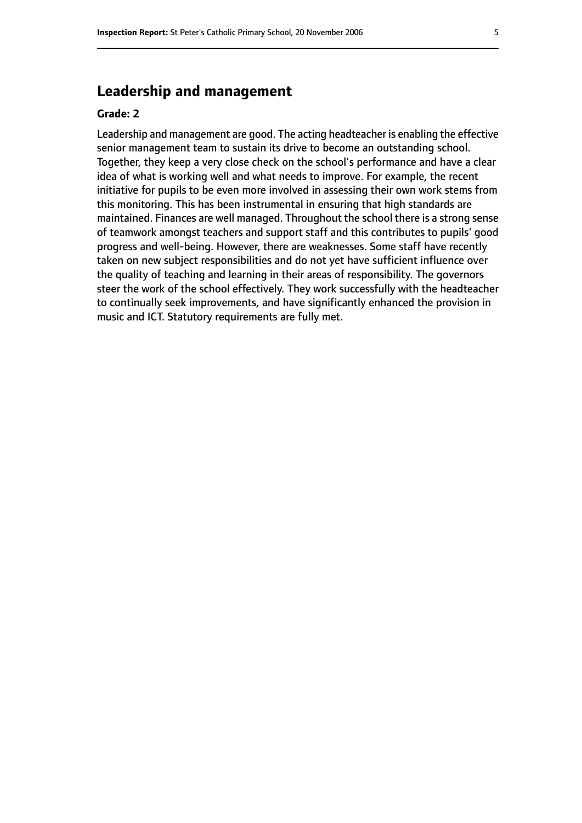# **Leadership and management**

#### **Grade: 2**

Leadership and management are good. The acting headteacher is enabling the effective senior management team to sustain its drive to become an outstanding school. Together, they keep a very close check on the school's performance and have a clear idea of what is working well and what needs to improve. For example, the recent initiative for pupils to be even more involved in assessing their own work stems from this monitoring. This has been instrumental in ensuring that high standards are maintained. Finances are well managed. Throughout the school there is a strong sense of teamwork amongst teachers and support staff and this contributes to pupils' good progress and well-being. However, there are weaknesses. Some staff have recently taken on new subject responsibilities and do not yet have sufficient influence over the quality of teaching and learning in their areas of responsibility. The governors steer the work of the school effectively. They work successfully with the headteacher to continually seek improvements, and have significantly enhanced the provision in music and ICT. Statutory requirements are fully met.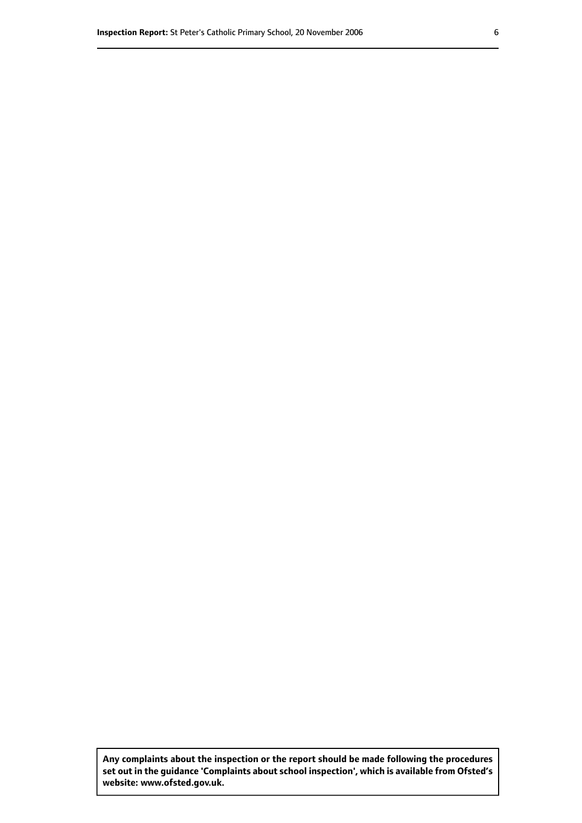**Any complaints about the inspection or the report should be made following the procedures set out inthe guidance 'Complaints about school inspection', whichis available from Ofsted's website: www.ofsted.gov.uk.**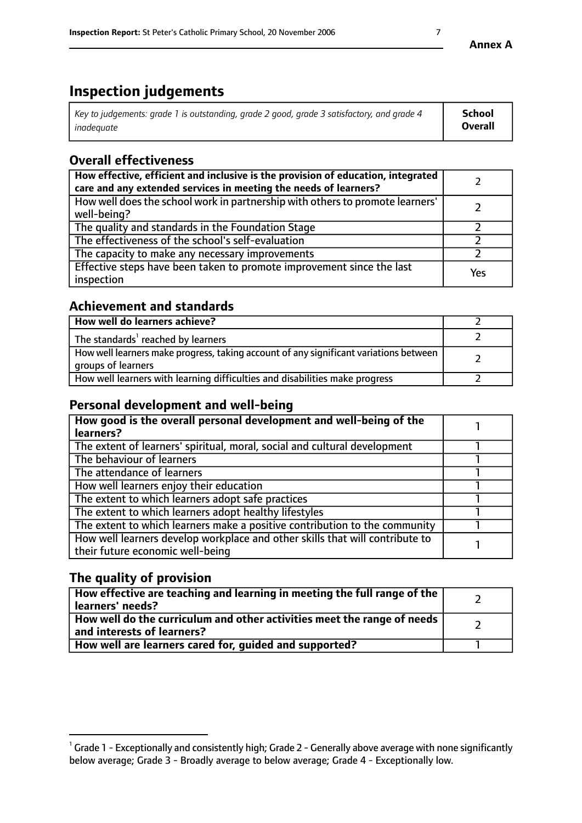# **Inspection judgements**

| Key to judgements: grade 1 is outstanding, grade 2 good, grade 3 satisfactory, and grade 4 | School         |
|--------------------------------------------------------------------------------------------|----------------|
| inadeauate                                                                                 | <b>Overall</b> |

# **Overall effectiveness**

| How effective, efficient and inclusive is the provision of education, integrated<br>care and any extended services in meeting the needs of learners? |     |
|------------------------------------------------------------------------------------------------------------------------------------------------------|-----|
| How well does the school work in partnership with others to promote learners'<br>well-being?                                                         |     |
| The quality and standards in the Foundation Stage                                                                                                    |     |
| The effectiveness of the school's self-evaluation                                                                                                    |     |
| The capacity to make any necessary improvements                                                                                                      |     |
| Effective steps have been taken to promote improvement since the last<br>inspection                                                                  | Yes |

## **Achievement and standards**

| How well do learners achieve?                                                                               |  |
|-------------------------------------------------------------------------------------------------------------|--|
| The standards <sup>1</sup> reached by learners                                                              |  |
| How well learners make progress, taking account of any significant variations between<br>groups of learners |  |
| How well learners with learning difficulties and disabilities make progress                                 |  |

## **Personal development and well-being**

| How good is the overall personal development and well-being of the<br>learners?                                  |  |
|------------------------------------------------------------------------------------------------------------------|--|
| The extent of learners' spiritual, moral, social and cultural development                                        |  |
| The behaviour of learners                                                                                        |  |
| The attendance of learners                                                                                       |  |
| How well learners enjoy their education                                                                          |  |
| The extent to which learners adopt safe practices                                                                |  |
| The extent to which learners adopt healthy lifestyles                                                            |  |
| The extent to which learners make a positive contribution to the community                                       |  |
| How well learners develop workplace and other skills that will contribute to<br>their future economic well-being |  |

## **The quality of provision**

| How effective are teaching and learning in meeting the full range of the<br>  learners' needs?                      |  |
|---------------------------------------------------------------------------------------------------------------------|--|
| $\mid$ How well do the curriculum and other activities meet the range of needs<br>$\mid$ and interests of learners? |  |
| How well are learners cared for, guided and supported?                                                              |  |

 $^1$  Grade 1 - Exceptionally and consistently high; Grade 2 - Generally above average with none significantly below average; Grade 3 - Broadly average to below average; Grade 4 - Exceptionally low.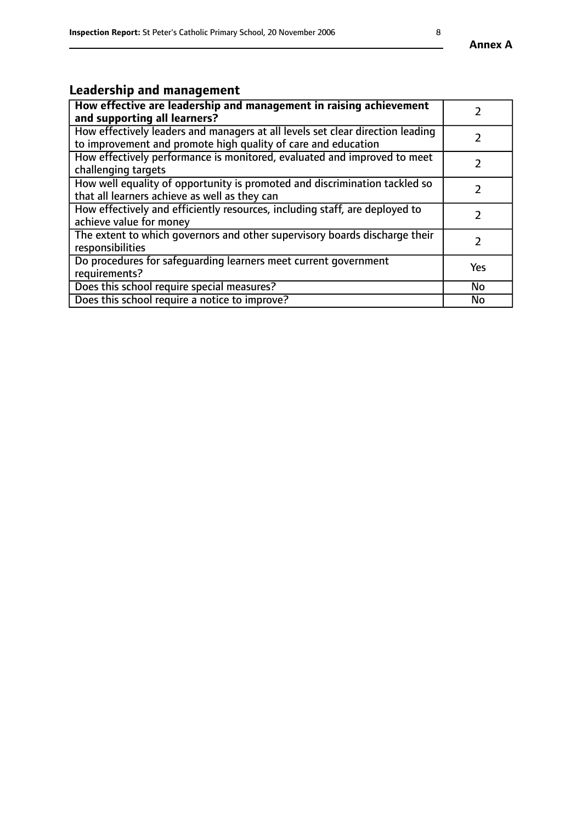# **Leadership and management**

| How effective are leadership and management in raising achievement<br>and supporting all learners?                                              |               |
|-------------------------------------------------------------------------------------------------------------------------------------------------|---------------|
| How effectively leaders and managers at all levels set clear direction leading<br>to improvement and promote high quality of care and education |               |
| How effectively performance is monitored, evaluated and improved to meet<br>challenging targets                                                 | $\mathcal{L}$ |
| How well equality of opportunity is promoted and discrimination tackled so<br>that all learners achieve as well as they can                     |               |
| How effectively and efficiently resources, including staff, are deployed to<br>achieve value for money                                          |               |
| The extent to which governors and other supervisory boards discharge their<br>responsibilities                                                  |               |
| Do procedures for safequarding learners meet current government<br>requirements?                                                                | Yes           |
| Does this school require special measures?                                                                                                      | No            |
| Does this school require a notice to improve?                                                                                                   | <b>No</b>     |